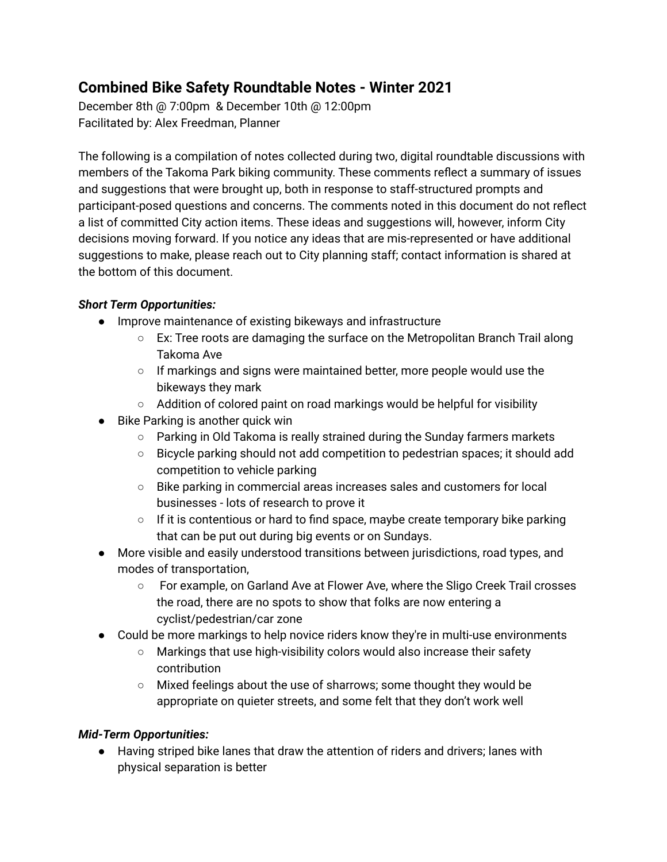# **Combined Bike Safety Roundtable Notes - Winter 2021**

December 8th @ 7:00pm & December 10th @ 12:00pm Facilitated by: Alex Freedman, Planner

The following is a compilation of notes collected during two, digital roundtable discussions with members of the Takoma Park biking community. These comments reflect a summary of issues and suggestions that were brought up, both in response to staff-structured prompts and participant-posed questions and concerns. The comments noted in this document do not reflect a list of committed City action items. These ideas and suggestions will, however, inform City decisions moving forward. If you notice any ideas that are mis-represented or have additional suggestions to make, please reach out to City planning staff; contact information is shared at the bottom of this document.

## *Short Term Opportunities:*

- Improve maintenance of existing bikeways and infrastructure
	- $\circ$  Ex: Tree roots are damaging the surface on the Metropolitan Branch Trail along Takoma Ave
	- If markings and signs were maintained better, more people would use the bikeways they mark
	- Addition of colored paint on road markings would be helpful for visibility
- Bike Parking is another quick win
	- Parking in Old Takoma is really strained during the Sunday farmers markets
	- Bicycle parking should not add competition to pedestrian spaces; it should add competition to vehicle parking
	- Bike parking in commercial areas increases sales and customers for local businesses - lots of research to prove it
	- $\circ$  If it is contentious or hard to find space, maybe create temporary bike parking that can be put out during big events or on Sundays.
- More visible and easily understood transitions between jurisdictions, road types, and modes of transportation,
	- For example, on Garland Ave at Flower Ave, where the Sligo Creek Trail crosses the road, there are no spots to show that folks are now entering a cyclist/pedestrian/car zone
- Could be more markings to help novice riders know they're in multi-use environments
	- Markings that use high-visibility colors would also increase their safety contribution
	- Mixed feelings about the use of sharrows; some thought they would be appropriate on quieter streets, and some felt that they don't work well

### *Mid-Term Opportunities:*

● Having striped bike lanes that draw the attention of riders and drivers; lanes with physical separation is better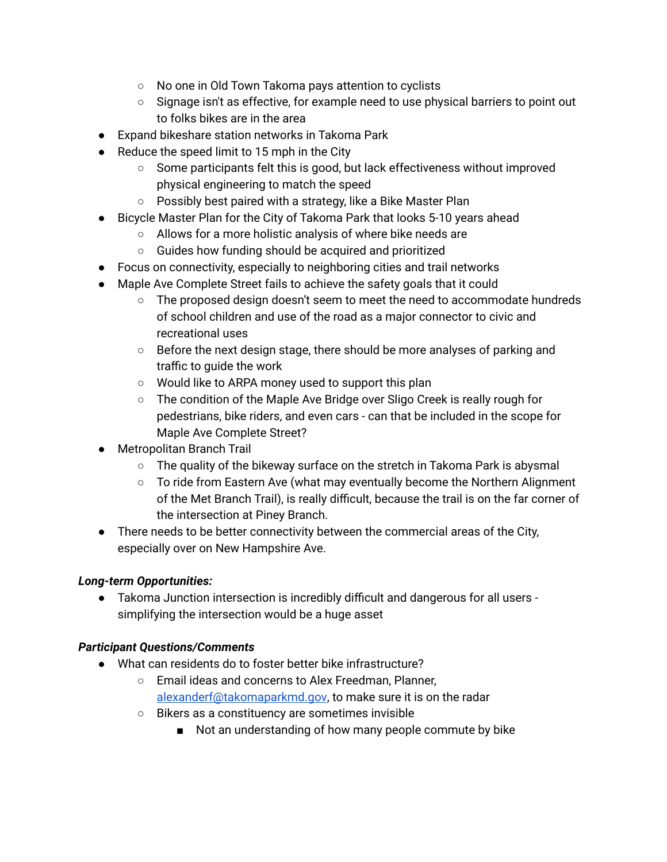- No one in Old Town Takoma pays attention to cyclists
- Signage isn't as effective, for example need to use physical barriers to point out to folks bikes are in the area
- Expand bikeshare station networks in Takoma Park
- Reduce the speed limit to 15 mph in the City
	- Some participants felt this is good, but lack effectiveness without improved physical engineering to match the speed
	- Possibly best paired with a strategy, like a Bike Master Plan
- Bicycle Master Plan for the City of Takoma Park that looks 5-10 years ahead
	- Allows for a more holistic analysis of where bike needs are
	- Guides how funding should be acquired and prioritized
- Focus on connectivity, especially to neighboring cities and trail networks
- Maple Ave Complete Street fails to achieve the safety goals that it could
	- $\circ$  The proposed design doesn't seem to meet the need to accommodate hundreds of school children and use of the road as a major connector to civic and recreational uses
	- $\circ$  Before the next design stage, there should be more analyses of parking and traffic to guide the work
	- Would like to ARPA money used to support this plan
	- The condition of the Maple Ave Bridge over Sligo Creek is really rough for pedestrians, bike riders, and even cars - can that be included in the scope for Maple Ave Complete Street?
- Metropolitan Branch Trail
	- The quality of the bikeway surface on the stretch in Takoma Park is abysmal
	- $\circ$  To ride from Eastern Ave (what may eventually become the Northern Alignment of the Met Branch Trail), is really difficult, because the trail is on the far corner of the intersection at Piney Branch.
- There needs to be better connectivity between the commercial areas of the City, especially over on New Hampshire Ave.

### *Long-term Opportunities:*

● Takoma Junction intersection is incredibly difficult and dangerous for all users simplifying the intersection would be a huge asset

### *Participant Questions/Comments*

- What can residents do to foster better bike infrastructure?
	- Email ideas and concerns to Alex Freedman, Planner, [alexanderf@takomaparkmd.gov](mailto:alexanderf@takomaparkmd.gov), to make sure it is on the radar
	- Bikers as a constituency are sometimes invisible
		- Not an understanding of how many people commute by bike